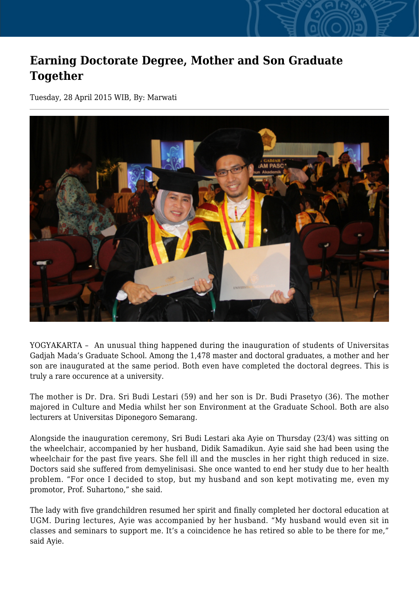## **Earning Doctorate Degree, Mother and Son Graduate Together**

Tuesday, 28 April 2015 WIB, By: Marwati



YOGYAKARTA – An unusual thing happened during the inauguration of students of Universitas Gadjah Mada's Graduate School. Among the 1,478 master and doctoral graduates, a mother and her son are inaugurated at the same period. Both even have completed the doctoral degrees. This is truly a rare occurence at a university.

The mother is Dr. Dra. Sri Budi Lestari (59) and her son is Dr. Budi Prasetyo (36). The mother majored in Culture and Media whilst her son Environment at the Graduate School. Both are also lecturers at Universitas Diponegoro Semarang.

Alongside the inauguration ceremony, Sri Budi Lestari aka Ayie on Thursday (23/4) was sitting on the wheelchair, accompanied by her husband, Didik Samadikun. Ayie said she had been using the wheelchair for the past five years. She fell ill and the muscles in her right thigh reduced in size. Doctors said she suffered from demyelinisasi. She once wanted to end her study due to her health problem. "For once I decided to stop, but my husband and son kept motivating me, even my promotor, Prof. Suhartono," she said.

The lady with five grandchildren resumed her spirit and finally completed her doctoral education at UGM. During lectures, Ayie was accompanied by her husband. "My husband would even sit in classes and seminars to support me. It's a coincidence he has retired so able to be there for me," said Ayie.